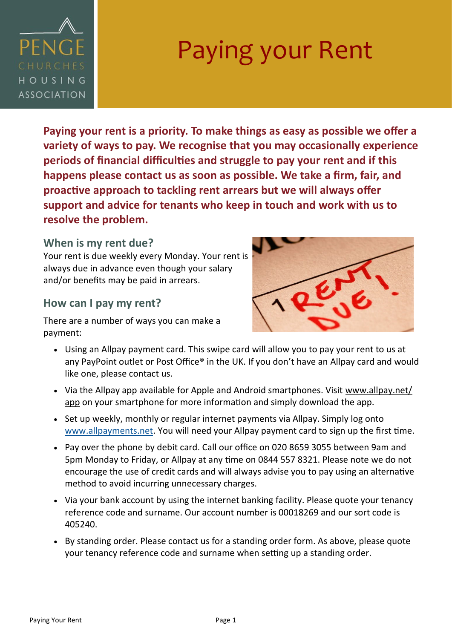

# Paying your Rent

**Paying your rent is a priority. To make things as easy as possible we offer a variety of ways to pay. We recognise that you may occasionally experience periods of financial difficulties and struggle to pay your rent and if this happens please contact us as soon as possible. We take a firm, fair, and proactive approach to tackling rent arrears but we will always offer support and advice for tenants who keep in touch and work with us to resolve the problem.**

#### **When is my rent due?**

Your rent is due weekly every Monday. Your rent is always due in advance even though your salary and/or benefits may be paid in arrears.

#### **How can I pay my rent?**

There are a number of ways you can make a payment:



- Using an Allpay payment card. This swipe card will allow you to pay your rent to us at any PayPoint outlet or Post Office® in the UK. If you don't have an Allpay card and would like one, please contact us.
- Via the Allpay app available for Apple and Android smartphones. Visit www.allpay.net/ app on your smartphone for more information and simply download the app.
- Set up weekly, monthly or regular internet payments via Allpay. Simply log onto [www.allpayments.net.](http://www.allpayments.net) You will need your Allpay payment card to sign up the first time.
- Pay over the phone by debit card. Call our office on 020 8659 3055 between 9am and 5pm Monday to Friday, or Allpay at any time on 0844 557 8321. Please note we do not encourage the use of credit cards and will always advise you to pay using an alternative method to avoid incurring unnecessary charges.
- Via your bank account by using the internet banking facility. Please quote your tenancy reference code and surname. Our account number is 00018269 and our sort code is 405240.
- By standing order. Please contact us for a standing order form. As above, please quote your tenancy reference code and surname when setting up a standing order.